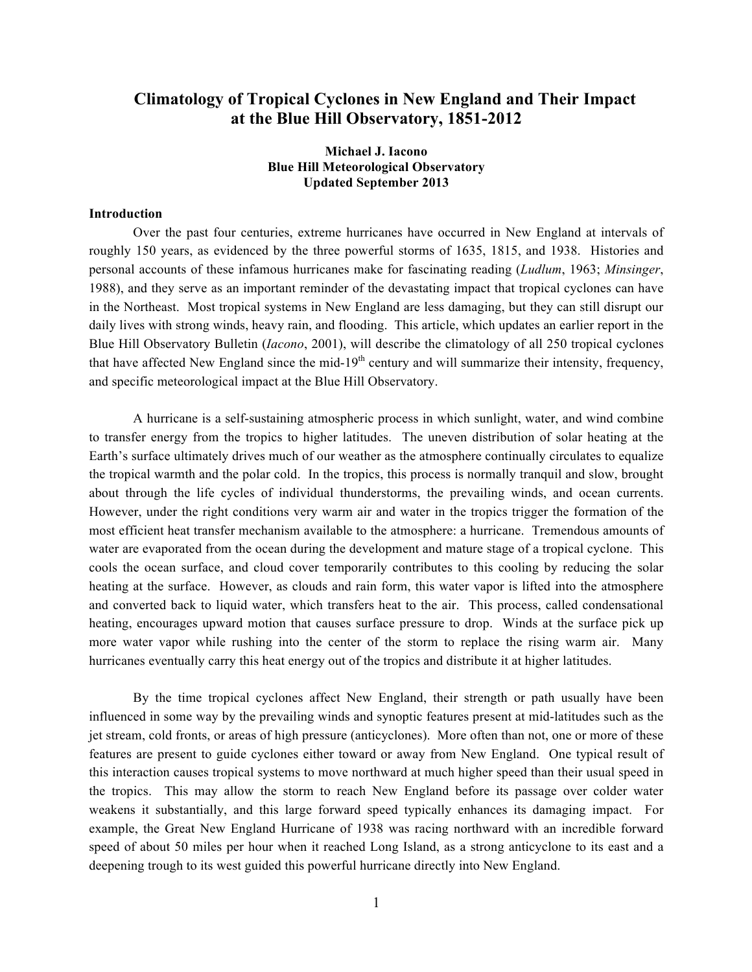# **Climatology of Tropical Cyclones in New England and Their Impact at the Blue Hill Observatory, 1851-2012**

## **Michael J. Iacono Blue Hill Meteorological Observatory Updated September 2013**

#### **Introduction**

Over the past four centuries, extreme hurricanes have occurred in New England at intervals of roughly 150 years, as evidenced by the three powerful storms of 1635, 1815, and 1938. Histories and personal accounts of these infamous hurricanes make for fascinating reading (*Ludlum*, 1963; *Minsinger*, 1988), and they serve as an important reminder of the devastating impact that tropical cyclones can have in the Northeast. Most tropical systems in New England are less damaging, but they can still disrupt our daily lives with strong winds, heavy rain, and flooding. This article, which updates an earlier report in the Blue Hill Observatory Bulletin (*Iacono*, 2001), will describe the climatology of all 250 tropical cyclones that have affected New England since the mid-19<sup>th</sup> century and will summarize their intensity, frequency, and specific meteorological impact at the Blue Hill Observatory.

A hurricane is a self-sustaining atmospheric process in which sunlight, water, and wind combine to transfer energy from the tropics to higher latitudes. The uneven distribution of solar heating at the Earth's surface ultimately drives much of our weather as the atmosphere continually circulates to equalize the tropical warmth and the polar cold. In the tropics, this process is normally tranquil and slow, brought about through the life cycles of individual thunderstorms, the prevailing winds, and ocean currents. However, under the right conditions very warm air and water in the tropics trigger the formation of the most efficient heat transfer mechanism available to the atmosphere: a hurricane. Tremendous amounts of water are evaporated from the ocean during the development and mature stage of a tropical cyclone. This cools the ocean surface, and cloud cover temporarily contributes to this cooling by reducing the solar heating at the surface. However, as clouds and rain form, this water vapor is lifted into the atmosphere and converted back to liquid water, which transfers heat to the air. This process, called condensational heating, encourages upward motion that causes surface pressure to drop. Winds at the surface pick up more water vapor while rushing into the center of the storm to replace the rising warm air. Many hurricanes eventually carry this heat energy out of the tropics and distribute it at higher latitudes.

By the time tropical cyclones affect New England, their strength or path usually have been influenced in some way by the prevailing winds and synoptic features present at mid-latitudes such as the jet stream, cold fronts, or areas of high pressure (anticyclones). More often than not, one or more of these features are present to guide cyclones either toward or away from New England. One typical result of this interaction causes tropical systems to move northward at much higher speed than their usual speed in the tropics. This may allow the storm to reach New England before its passage over colder water weakens it substantially, and this large forward speed typically enhances its damaging impact. For example, the Great New England Hurricane of 1938 was racing northward with an incredible forward speed of about 50 miles per hour when it reached Long Island, as a strong anticyclone to its east and a deepening trough to its west guided this powerful hurricane directly into New England.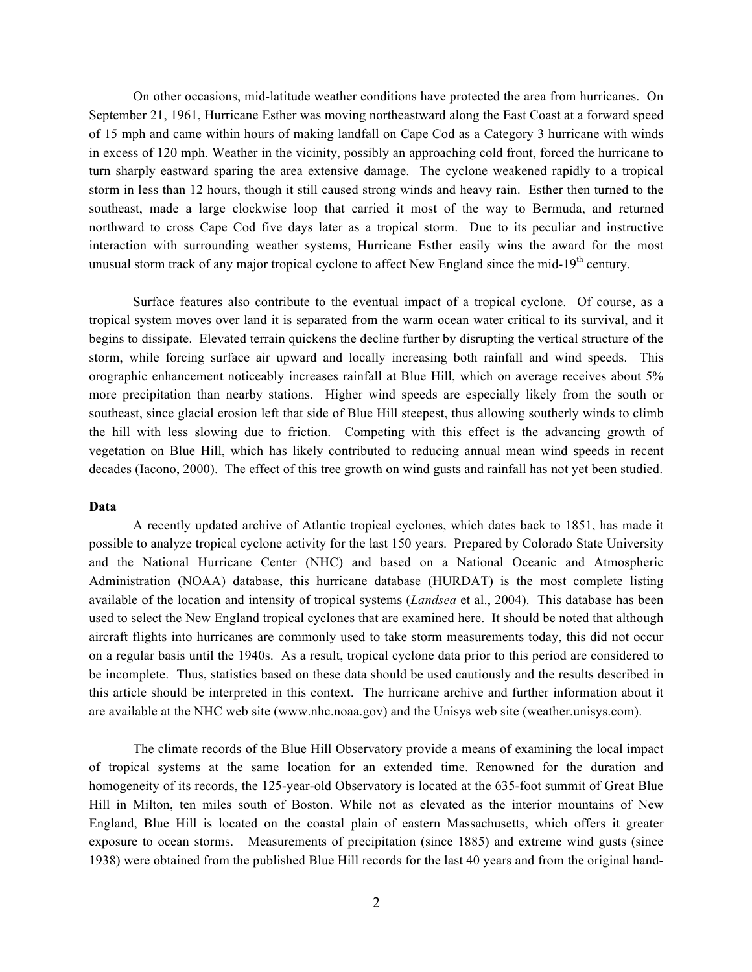On other occasions, mid-latitude weather conditions have protected the area from hurricanes. On September 21, 1961, Hurricane Esther was moving northeastward along the East Coast at a forward speed of 15 mph and came within hours of making landfall on Cape Cod as a Category 3 hurricane with winds in excess of 120 mph. Weather in the vicinity, possibly an approaching cold front, forced the hurricane to turn sharply eastward sparing the area extensive damage. The cyclone weakened rapidly to a tropical storm in less than 12 hours, though it still caused strong winds and heavy rain. Esther then turned to the southeast, made a large clockwise loop that carried it most of the way to Bermuda, and returned northward to cross Cape Cod five days later as a tropical storm. Due to its peculiar and instructive interaction with surrounding weather systems, Hurricane Esther easily wins the award for the most unusual storm track of any major tropical cyclone to affect New England since the mid-19<sup>th</sup> century.

Surface features also contribute to the eventual impact of a tropical cyclone. Of course, as a tropical system moves over land it is separated from the warm ocean water critical to its survival, and it begins to dissipate. Elevated terrain quickens the decline further by disrupting the vertical structure of the storm, while forcing surface air upward and locally increasing both rainfall and wind speeds. This orographic enhancement noticeably increases rainfall at Blue Hill, which on average receives about 5% more precipitation than nearby stations. Higher wind speeds are especially likely from the south or southeast, since glacial erosion left that side of Blue Hill steepest, thus allowing southerly winds to climb the hill with less slowing due to friction. Competing with this effect is the advancing growth of vegetation on Blue Hill, which has likely contributed to reducing annual mean wind speeds in recent decades (Iacono, 2000). The effect of this tree growth on wind gusts and rainfall has not yet been studied.

### **Data**

A recently updated archive of Atlantic tropical cyclones, which dates back to 1851, has made it possible to analyze tropical cyclone activity for the last 150 years. Prepared by Colorado State University and the National Hurricane Center (NHC) and based on a National Oceanic and Atmospheric Administration (NOAA) database, this hurricane database (HURDAT) is the most complete listing available of the location and intensity of tropical systems (*Landsea* et al., 2004). This database has been used to select the New England tropical cyclones that are examined here. It should be noted that although aircraft flights into hurricanes are commonly used to take storm measurements today, this did not occur on a regular basis until the 1940s. As a result, tropical cyclone data prior to this period are considered to be incomplete. Thus, statistics based on these data should be used cautiously and the results described in this article should be interpreted in this context. The hurricane archive and further information about it are available at the NHC web site (www.nhc.noaa.gov) and the Unisys web site (weather.unisys.com).

The climate records of the Blue Hill Observatory provide a means of examining the local impact of tropical systems at the same location for an extended time. Renowned for the duration and homogeneity of its records, the 125-year-old Observatory is located at the 635-foot summit of Great Blue Hill in Milton, ten miles south of Boston. While not as elevated as the interior mountains of New England, Blue Hill is located on the coastal plain of eastern Massachusetts, which offers it greater exposure to ocean storms. Measurements of precipitation (since 1885) and extreme wind gusts (since 1938) were obtained from the published Blue Hill records for the last 40 years and from the original hand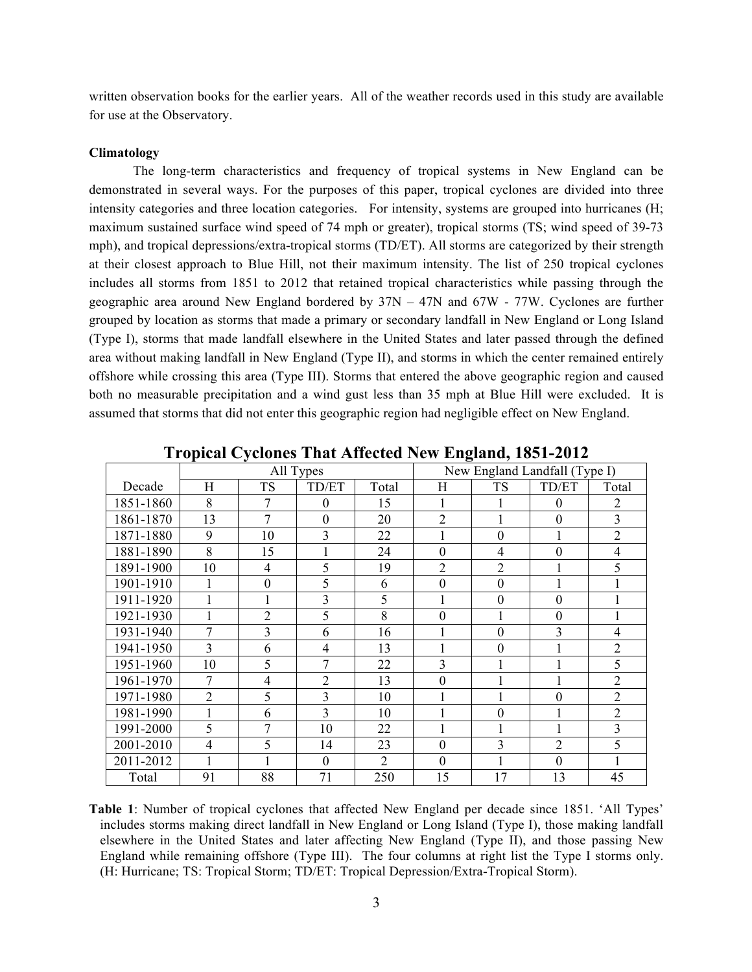written observation books for the earlier years. All of the weather records used in this study are available for use at the Observatory.

#### **Climatology**

The long-term characteristics and frequency of tropical systems in New England can be demonstrated in several ways. For the purposes of this paper, tropical cyclones are divided into three intensity categories and three location categories. For intensity, systems are grouped into hurricanes (H; maximum sustained surface wind speed of 74 mph or greater), tropical storms (TS; wind speed of 39-73 mph), and tropical depressions/extra-tropical storms (TD/ET). All storms are categorized by their strength at their closest approach to Blue Hill, not their maximum intensity. The list of 250 tropical cyclones includes all storms from 1851 to 2012 that retained tropical characteristics while passing through the geographic area around New England bordered by  $37N - 47N$  and  $67W - 77W$ . Cyclones are further grouped by location as storms that made a primary or secondary landfall in New England or Long Island (Type I), storms that made landfall elsewhere in the United States and later passed through the defined area without making landfall in New England (Type II), and storms in which the center remained entirely offshore while crossing this area (Type III). Storms that entered the above geographic region and caused both no measurable precipitation and a wind gust less than 35 mph at Blue Hill were excluded. It is assumed that storms that did not enter this geographic region had negligible effect on New England.

|           | All Types      |                  |                  | New England Landfall (Type I) |                  |                  |                  |                |
|-----------|----------------|------------------|------------------|-------------------------------|------------------|------------------|------------------|----------------|
| Decade    | Н              | <b>TS</b>        | TD/ET            | Total                         | H                | <b>TS</b>        | TD/ET            | Total          |
| 1851-1860 | 8              | 7                | $\theta$         | 15                            |                  |                  | $\theta$         | $\overline{2}$ |
| 1861-1870 | 13             | $\overline{7}$   | $\boldsymbol{0}$ | 20                            | $\overline{2}$   |                  | $\theta$         | 3              |
| 1871-1880 | 9              | 10               | $\overline{3}$   | 22                            | 1                | $\overline{0}$   | 1                | $\overline{2}$ |
| 1881-1890 | 8              | 15               | 1                | 24                            | $\theta$         | 4                | $\theta$         | $\overline{4}$ |
| 1891-1900 | 10             | 4                | 5                | 19                            | $\overline{2}$   | $\overline{2}$   |                  | 5              |
| 1901-1910 | 1              | $\boldsymbol{0}$ | 5                | 6                             | $\overline{0}$   | $\overline{0}$   | 1                |                |
| 1911-1920 |                | $\mathbf{1}$     | $\overline{3}$   | 5                             | $\mathbf{1}$     | $\overline{0}$   | $\overline{0}$   |                |
| 1921-1930 |                | $\overline{2}$   | 5                | 8                             | $\boldsymbol{0}$ | 1                | $\boldsymbol{0}$ |                |
| 1931-1940 | $\overline{7}$ | 3                | 6                | 16                            | 1                | $\boldsymbol{0}$ | 3                | $\overline{4}$ |
| 1941-1950 | 3              | 6                | $\overline{4}$   | 13                            | 1                | $\theta$         | 1                | $\overline{2}$ |
| 1951-1960 | 10             | 5                | 7                | 22                            | 3                | 1                | 1                | 5              |
| 1961-1970 | 7              | $\overline{4}$   | $\overline{2}$   | 13                            | $\overline{0}$   | 1                | 1                | $\overline{2}$ |
| 1971-1980 | $\overline{2}$ | 5                | 3                | 10                            | 1                |                  | $\theta$         | $\overline{2}$ |
| 1981-1990 | 1              | 6                | $\overline{3}$   | 10                            | 1                | $\boldsymbol{0}$ | 1                | $\overline{2}$ |
| 1991-2000 | 5              | 7                | 10               | 22                            | 1                |                  |                  | $\overline{3}$ |
| 2001-2010 | 4              | 5                | 14               | 23                            | $\theta$         | 3                | $\overline{2}$   | 5              |
| 2011-2012 | 1              | 1                | $\overline{0}$   | $\overline{2}$                | $\theta$         | 1                | $\theta$         |                |
| Total     | 91             | 88               | 71               | 250                           | 15               | 17               | 13               | 45             |

**Tropical Cyclones That Affected New England, 1851-2012**

**Table 1**: Number of tropical cyclones that affected New England per decade since 1851. 'All Types' includes storms making direct landfall in New England or Long Island (Type I), those making landfall elsewhere in the United States and later affecting New England (Type II), and those passing New England while remaining offshore (Type III). The four columns at right list the Type I storms only. (H: Hurricane; TS: Tropical Storm; TD/ET: Tropical Depression/Extra-Tropical Storm).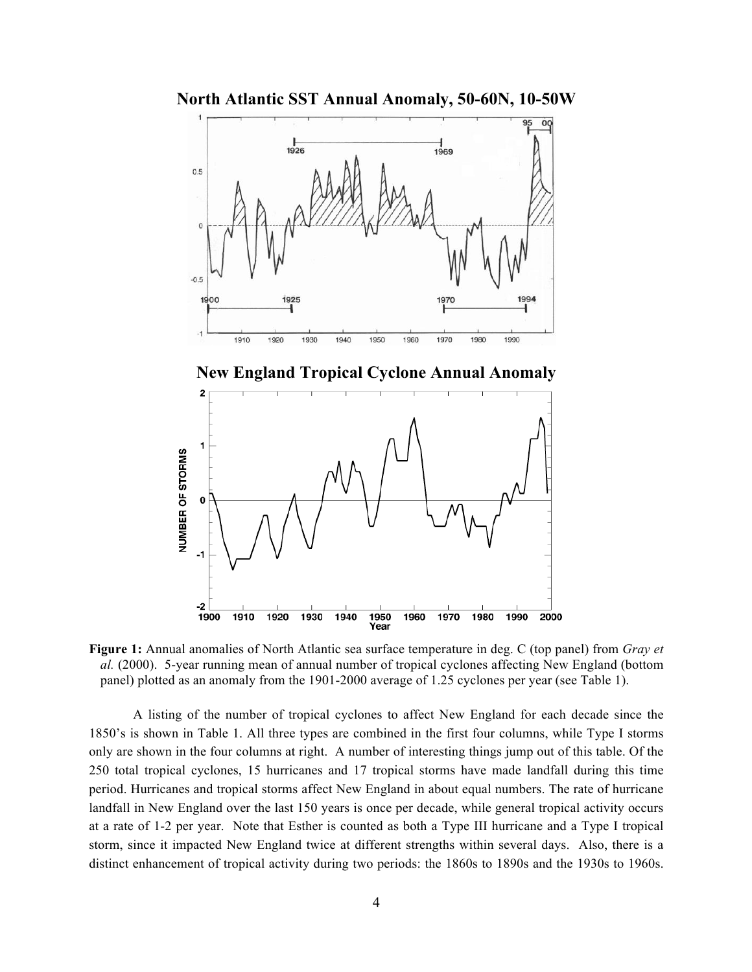**North Atlantic SST Annual Anomaly, 50-60N, 10-50W**



**New England Tropical Cyclone Annual Anomaly**



**Figure 1:** Annual anomalies of North Atlantic sea surface temperature in deg. C (top panel) from *Gray et al.* (2000). 5-year running mean of annual number of tropical cyclones affecting New England (bottom panel) plotted as an anomaly from the 1901-2000 average of 1.25 cyclones per year (see Table 1).

A listing of the number of tropical cyclones to affect New England for each decade since the 1850's is shown in Table 1. All three types are combined in the first four columns, while Type I storms only are shown in the four columns at right. A number of interesting things jump out of this table. Of the 250 total tropical cyclones, 15 hurricanes and 17 tropical storms have made landfall during this time period. Hurricanes and tropical storms affect New England in about equal numbers. The rate of hurricane landfall in New England over the last 150 years is once per decade, while general tropical activity occurs at a rate of 1-2 per year. Note that Esther is counted as both a Type III hurricane and a Type I tropical storm, since it impacted New England twice at different strengths within several days. Also, there is a distinct enhancement of tropical activity during two periods: the 1860s to 1890s and the 1930s to 1960s.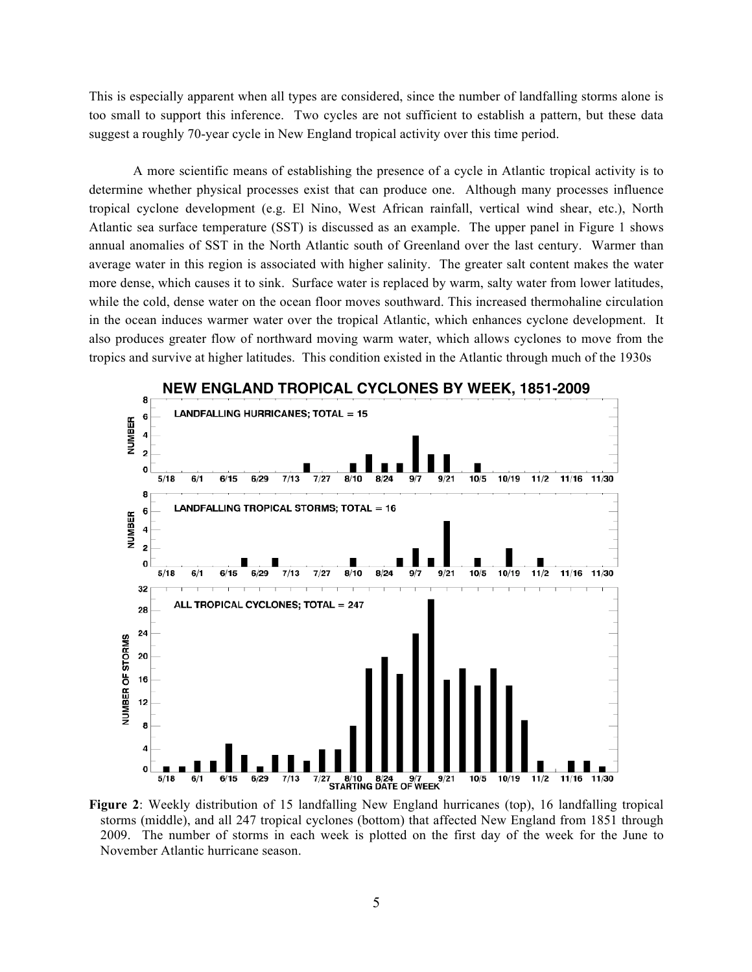This is especially apparent when all types are considered, since the number of landfalling storms alone is too small to support this inference. Two cycles are not sufficient to establish a pattern, but these data suggest a roughly 70-year cycle in New England tropical activity over this time period.

A more scientific means of establishing the presence of a cycle in Atlantic tropical activity is to determine whether physical processes exist that can produce one. Although many processes influence tropical cyclone development (e.g. El Nino, West African rainfall, vertical wind shear, etc.), North Atlantic sea surface temperature (SST) is discussed as an example. The upper panel in Figure 1 shows annual anomalies of SST in the North Atlantic south of Greenland over the last century. Warmer than average water in this region is associated with higher salinity. The greater salt content makes the water more dense, which causes it to sink. Surface water is replaced by warm, salty water from lower latitudes, while the cold, dense water on the ocean floor moves southward. This increased thermohaline circulation in the ocean induces warmer water over the tropical Atlantic, which enhances cyclone development. It also produces greater flow of northward moving warm water, which allows cyclones to move from the tropics and survive at higher latitudes. This condition existed in the Atlantic through much of the 1930s



**Figure 2**: Weekly distribution of 15 landfalling New England hurricanes (top), 16 landfalling tropical storms (middle), and all 247 tropical cyclones (bottom) that affected New England from 1851 through 2009. The number of storms in each week is plotted on the first day of the week for the June to November Atlantic hurricane season.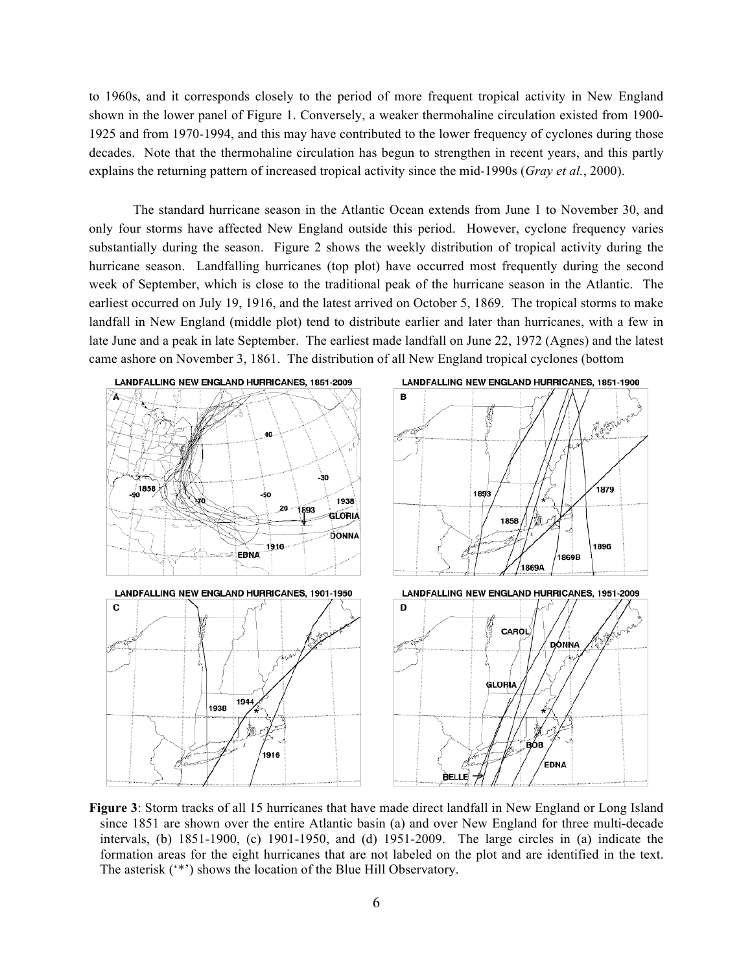to 1960s, and it corresponds closely to the period of more frequent tropical activity in New England shown in the lower panel of Figure 1. Conversely, a weaker thermohaline circulation existed from 1900- 1925 and from 1970-1994, and this may have contributed to the lower frequency of cyclones during those decades. Note that the thermohaline circulation has begun to strengthen in recent years, and this partly explains the returning pattern of increased tropical activity since the mid-1990s (*Gray et al.*, 2000).

The standard hurricane season in the Atlantic Ocean extends from June 1 to November 30, and only four storms have affected New England outside this period. However, cyclone frequency varies substantially during the season. Figure 2 shows the weekly distribution of tropical activity during the hurricane season. Landfalling hurricanes (top plot) have occurred most frequently during the second week of September, which is close to the traditional peak of the hurricane season in the Atlantic. The earliest occurred on July 19, 1916, and the latest arrived on October 5, 1869. The tropical storms to make landfall in New England (middle plot) tend to distribute earlier and later than hurricanes, with a few in late June and a peak in late September. The earliest made landfall on June 22, 1972 (Agnes) and the latest came ashore on November 3, 1861. The distribution of all New England tropical cyclones (bottom



**Figure 3**: Storm tracks of all 15 hurricanes that have made direct landfall in New England or Long Island since 1851 are shown over the entire Atlantic basin (a) and over New England for three multi-decade intervals, (b) 1851-1900, (c) 1901-1950, and (d) 1951-2009. The large circles in (a) indicate the formation areas for the eight hurricanes that are not labeled on the plot and are identified in the text. The asterisk ('\*') shows the location of the Blue Hill Observatory.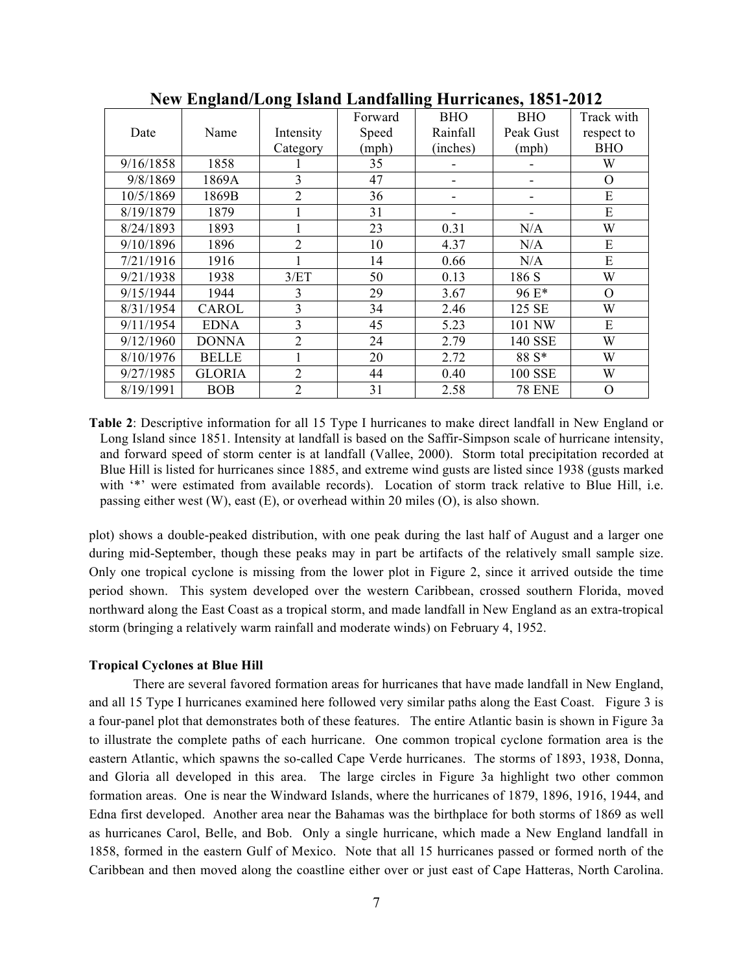|           | ਰ ∵          |                |         | ੇ          |                |            |
|-----------|--------------|----------------|---------|------------|----------------|------------|
|           |              |                | Forward | <b>BHO</b> | <b>BHO</b>     | Track with |
| Date      | Name         | Intensity      | Speed   | Rainfall   | Peak Gust      | respect to |
|           |              | Category       | (mph)   | (inches)   | (mph)          | <b>BHO</b> |
| 9/16/1858 | 1858         |                | 35      |            |                | W          |
| 9/8/1869  | 1869A        | 3              | 47      |            |                | O          |
| 10/5/1869 | 1869B        | $\overline{2}$ | 36      |            |                | E          |
| 8/19/1879 | 1879         |                | 31      |            |                | E          |
| 8/24/1893 | 1893         | 1              | 23      | 0.31       | N/A            | W          |
| 9/10/1896 | 1896         | $\overline{2}$ | 10      | 4.37       | N/A            | E          |
| 7/21/1916 | 1916         |                | 14      | 0.66       | N/A            | E          |
| 9/21/1938 | 1938         | 3/ET           | 50      | 0.13       | 186 S          | W          |
| 9/15/1944 | 1944         | 3              | 29      | 3.67       | 96 E*          | $\Omega$   |
| 8/31/1954 | CAROL        | $\overline{3}$ | 34      | 2.46       | 125 SE         | W          |
| 9/11/1954 | <b>EDNA</b>  | $\overline{3}$ | 45      | 5.23       | 101 NW         | E          |
| 9/12/1960 | <b>DONNA</b> | $\overline{2}$ | 24      | 2.79       | 140 SSE        | W          |
| 8/10/1976 | <b>BELLE</b> | 1              | 20      | 2.72       | 88 S*          | W          |
| 9/27/1985 | GLORIA       | $\overline{2}$ | 44      | 0.40       | <b>100 SSE</b> | W          |
| 8/19/1991 | <b>BOB</b>   | $\overline{2}$ | 31      | 2.58       | <b>78 ENE</b>  | O          |

**New England/Long Island Landfalling Hurricanes, 1851-2012**

**Table 2**: Descriptive information for all 15 Type I hurricanes to make direct landfall in New England or Long Island since 1851. Intensity at landfall is based on the Saffir-Simpson scale of hurricane intensity, and forward speed of storm center is at landfall (Vallee, 2000). Storm total precipitation recorded at Blue Hill is listed for hurricanes since 1885, and extreme wind gusts are listed since 1938 (gusts marked with '\*' were estimated from available records). Location of storm track relative to Blue Hill, i.e. passing either west (W), east (E), or overhead within 20 miles (O), is also shown.

plot) shows a double-peaked distribution, with one peak during the last half of August and a larger one during mid-September, though these peaks may in part be artifacts of the relatively small sample size. Only one tropical cyclone is missing from the lower plot in Figure 2, since it arrived outside the time period shown. This system developed over the western Caribbean, crossed southern Florida, moved northward along the East Coast as a tropical storm, and made landfall in New England as an extra-tropical storm (bringing a relatively warm rainfall and moderate winds) on February 4, 1952.

### **Tropical Cyclones at Blue Hill**

There are several favored formation areas for hurricanes that have made landfall in New England, and all 15 Type I hurricanes examined here followed very similar paths along the East Coast. Figure 3 is a four-panel plot that demonstrates both of these features. The entire Atlantic basin is shown in Figure 3a to illustrate the complete paths of each hurricane. One common tropical cyclone formation area is the eastern Atlantic, which spawns the so-called Cape Verde hurricanes. The storms of 1893, 1938, Donna, and Gloria all developed in this area. The large circles in Figure 3a highlight two other common formation areas. One is near the Windward Islands, where the hurricanes of 1879, 1896, 1916, 1944, and Edna first developed. Another area near the Bahamas was the birthplace for both storms of 1869 as well as hurricanes Carol, Belle, and Bob. Only a single hurricane, which made a New England landfall in 1858, formed in the eastern Gulf of Mexico. Note that all 15 hurricanes passed or formed north of the Caribbean and then moved along the coastline either over or just east of Cape Hatteras, North Carolina.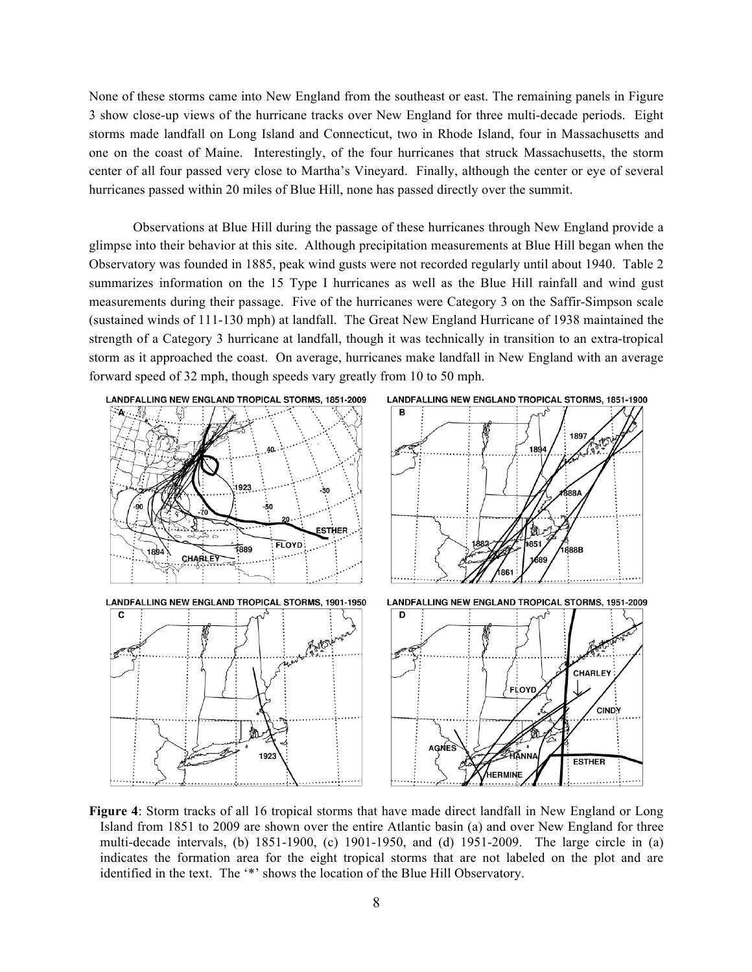None of these storms came into New England from the southeast or east. The remaining panels in Figure 3 show close-up views of the hurricane tracks over New England for three multi-decade periods. Eight storms made landfall on Long Island and Connecticut, two in Rhode Island, four in Massachusetts and one on the coast of Maine. Interestingly, of the four hurricanes that struck Massachusetts, the storm center of all four passed very close to Martha's Vineyard. Finally, although the center or eye of several hurricanes passed within 20 miles of Blue Hill, none has passed directly over the summit.

Observations at Blue Hill during the passage of these hurricanes through New England provide a glimpse into their behavior at this site. Although precipitation measurements at Blue Hill began when the Observatory was founded in 1885, peak wind gusts were not recorded regularly until about 1940. Table 2 summarizes information on the 15 Type I hurricanes as well as the Blue Hill rainfall and wind gust measurements during their passage. Five of the hurricanes were Category 3 on the Saffir-Simpson scale (sustained winds of 111-130 mph) at landfall. The Great New England Hurricane of 1938 maintained the strength of a Category 3 hurricane at landfall, though it was technically in transition to an extra-tropical storm as it approached the coast. On average, hurricanes make landfall in New England with an average forward speed of 32 mph, though speeds vary greatly from 10 to 50 mph.



**Figure 4**: Storm tracks of all 16 tropical storms that have made direct landfall in New England or Long Island from 1851 to 2009 are shown over the entire Atlantic basin (a) and over New England for three multi-decade intervals, (b) 1851-1900, (c) 1901-1950, and (d) 1951-2009. The large circle in (a) indicates the formation area for the eight tropical storms that are not labeled on the plot and are identified in the text. The '\*' shows the location of the Blue Hill Observatory.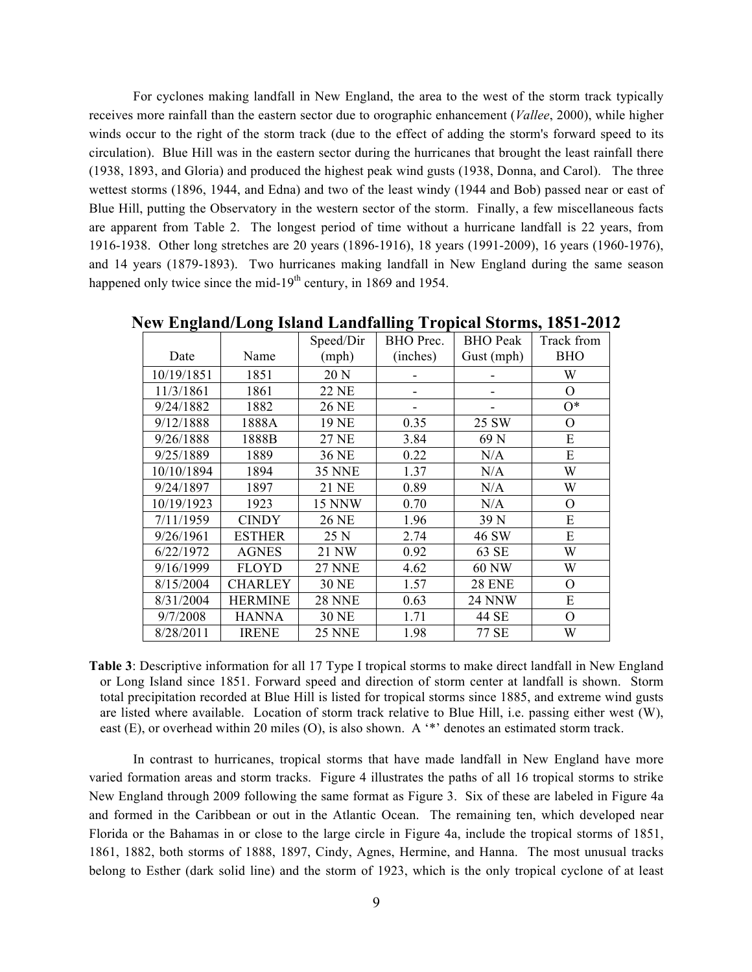For cyclones making landfall in New England, the area to the west of the storm track typically receives more rainfall than the eastern sector due to orographic enhancement (*Vallee*, 2000), while higher winds occur to the right of the storm track (due to the effect of adding the storm's forward speed to its circulation). Blue Hill was in the eastern sector during the hurricanes that brought the least rainfall there (1938, 1893, and Gloria) and produced the highest peak wind gusts (1938, Donna, and Carol). The three wettest storms (1896, 1944, and Edna) and two of the least windy (1944 and Bob) passed near or east of Blue Hill, putting the Observatory in the western sector of the storm. Finally, a few miscellaneous facts are apparent from Table 2. The longest period of time without a hurricane landfall is 22 years, from 1916-1938. Other long stretches are 20 years (1896-1916), 18 years (1991-2009), 16 years (1960-1976), and 14 years (1879-1893). Two hurricanes making landfall in New England during the same season happened only twice since the mid-19<sup>th</sup> century, in 1869 and 1954.

|            |                | Speed/Dir     | BHO Prec. | <b>BHO</b> Peak | Track from |
|------------|----------------|---------------|-----------|-----------------|------------|
| Date       | Name           | (mph)         | (inches)  | Gust (mph)      | <b>BHO</b> |
| 10/19/1851 | 1851           | 20 N          |           |                 | W          |
| 11/3/1861  | 1861           | <b>22 NE</b>  | -         |                 | $\Omega$   |
| 9/24/1882  | 1882           | 26 NE         | ۰         |                 | $O^*$      |
| 9/12/1888  | 1888A          | 19 NE         | 0.35      | 25 SW           | O          |
| 9/26/1888  | 1888B          | <b>27 NE</b>  | 3.84      | 69 <sub>N</sub> | E          |
| 9/25/1889  | 1889           | 36 NE         | 0.22      | N/A             | E          |
| 10/10/1894 | 1894           | <b>35 NNE</b> | 1.37      | N/A             | W          |
| 9/24/1897  | 1897           | 21 NE         | 0.89      | N/A             | W          |
| 10/19/1923 | 1923           | <b>15 NNW</b> | 0.70      | N/A             | O          |
| 7/11/1959  | <b>CINDY</b>   | 26 NE         | 1.96      | 39 N            | E          |
| 9/26/1961  | <b>ESTHER</b>  | 25 N          | 2.74      | 46 SW           | E          |
| 6/22/1972  | <b>AGNES</b>   | 21 NW         | 0.92      | 63 SE           | W          |
| 9/16/1999  | <b>FLOYD</b>   | <b>27 NNE</b> | 4.62      | <b>60 NW</b>    | W          |
| 8/15/2004  | <b>CHARLEY</b> | <b>30 NE</b>  | 1.57      | <b>28 ENE</b>   | O          |
| 8/31/2004  | <b>HERMINE</b> | <b>28 NNE</b> | 0.63      | 24 NNW          | E          |
| 9/7/2008   | <b>HANNA</b>   | <b>30 NE</b>  | 1.71      | 44 SE           | O          |
| 8/28/2011  | <b>IRENE</b>   | <b>25 NNE</b> | 1.98      | 77 SE           | W          |

**New England/Long Island Landfalling Tropical Storms, 1851-2012**

**Table 3**: Descriptive information for all 17 Type I tropical storms to make direct landfall in New England or Long Island since 1851. Forward speed and direction of storm center at landfall is shown. Storm total precipitation recorded at Blue Hill is listed for tropical storms since 1885, and extreme wind gusts are listed where available. Location of storm track relative to Blue Hill, i.e. passing either west (W), east (E), or overhead within 20 miles (O), is also shown. A '\*' denotes an estimated storm track.

In contrast to hurricanes, tropical storms that have made landfall in New England have more varied formation areas and storm tracks. Figure 4 illustrates the paths of all 16 tropical storms to strike New England through 2009 following the same format as Figure 3. Six of these are labeled in Figure 4a and formed in the Caribbean or out in the Atlantic Ocean. The remaining ten, which developed near Florida or the Bahamas in or close to the large circle in Figure 4a, include the tropical storms of 1851, 1861, 1882, both storms of 1888, 1897, Cindy, Agnes, Hermine, and Hanna. The most unusual tracks belong to Esther (dark solid line) and the storm of 1923, which is the only tropical cyclone of at least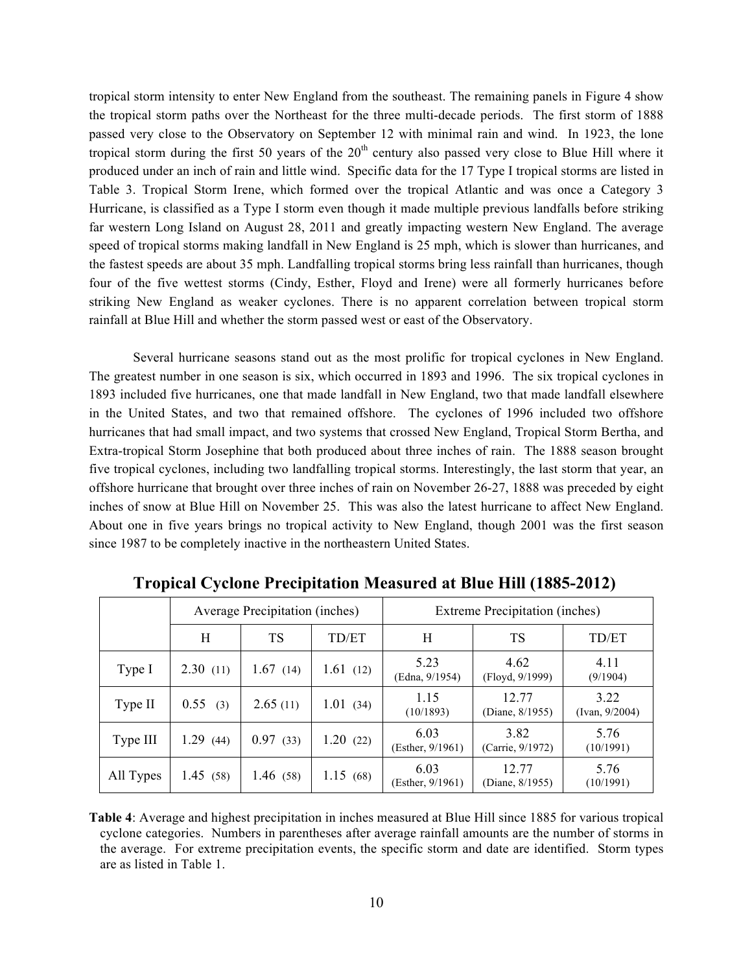tropical storm intensity to enter New England from the southeast. The remaining panels in Figure 4 show the tropical storm paths over the Northeast for the three multi-decade periods. The first storm of 1888 passed very close to the Observatory on September 12 with minimal rain and wind. In 1923, the lone tropical storm during the first 50 years of the  $20<sup>th</sup>$  century also passed very close to Blue Hill where it produced under an inch of rain and little wind. Specific data for the 17 Type I tropical storms are listed in Table 3. Tropical Storm Irene, which formed over the tropical Atlantic and was once a Category 3 Hurricane, is classified as a Type I storm even though it made multiple previous landfalls before striking far western Long Island on August 28, 2011 and greatly impacting western New England. The average speed of tropical storms making landfall in New England is 25 mph, which is slower than hurricanes, and the fastest speeds are about 35 mph. Landfalling tropical storms bring less rainfall than hurricanes, though four of the five wettest storms (Cindy, Esther, Floyd and Irene) were all formerly hurricanes before striking New England as weaker cyclones. There is no apparent correlation between tropical storm rainfall at Blue Hill and whether the storm passed west or east of the Observatory.

Several hurricane seasons stand out as the most prolific for tropical cyclones in New England. The greatest number in one season is six, which occurred in 1893 and 1996. The six tropical cyclones in 1893 included five hurricanes, one that made landfall in New England, two that made landfall elsewhere in the United States, and two that remained offshore. The cyclones of 1996 included two offshore hurricanes that had small impact, and two systems that crossed New England, Tropical Storm Bertha, and Extra-tropical Storm Josephine that both produced about three inches of rain. The 1888 season brought five tropical cyclones, including two landfalling tropical storms. Interestingly, the last storm that year, an offshore hurricane that brought over three inches of rain on November 26-27, 1888 was preceded by eight inches of snow at Blue Hill on November 25. This was also the latest hurricane to affect New England. About one in five years brings no tropical activity to New England, though 2001 was the first season since 1987 to be completely inactive in the northeastern United States.

|           | Average Precipitation (inches) |             |          | Extreme Precipitation (inches) |                          |                        |
|-----------|--------------------------------|-------------|----------|--------------------------------|--------------------------|------------------------|
|           | H                              | TS          | TD/ET    | H                              | TS                       | TD/ET                  |
| Type I    | 2.30(11)                       | 1.67(14)    | 1.61(12) | 5.23<br>(Edna, 9/1954)         | 4.62<br>(Floyd, 9/1999)  | 4.11<br>(9/1904)       |
| Type II   | 0.55(3)                        | 2.65(11)    | 1.01(34) | 1 1 5<br>(10/1893)             | 12.77<br>(Diane, 8/1955) | 3.22<br>(IVan, 9/2004) |
| Type III  | 1.29(44)                       | 0.97(33)    | 1.20(22) | 6.03<br>(Esther, $9/1961$ )    | 3.82<br>(Carrie, 9/1972) | 5.76<br>(10/1991)      |
| All Types | 1.45(58)                       | 1.46 $(58)$ | 1.15(68) | 6.03<br>(Esther, $9/1961$ )    | 12.77<br>(Diane, 8/1955) | 5.76<br>(10/1991)      |

**Tropical Cyclone Precipitation Measured at Blue Hill (1885-2012)**

**Table 4**: Average and highest precipitation in inches measured at Blue Hill since 1885 for various tropical cyclone categories. Numbers in parentheses after average rainfall amounts are the number of storms in the average. For extreme precipitation events, the specific storm and date are identified. Storm types are as listed in Table 1.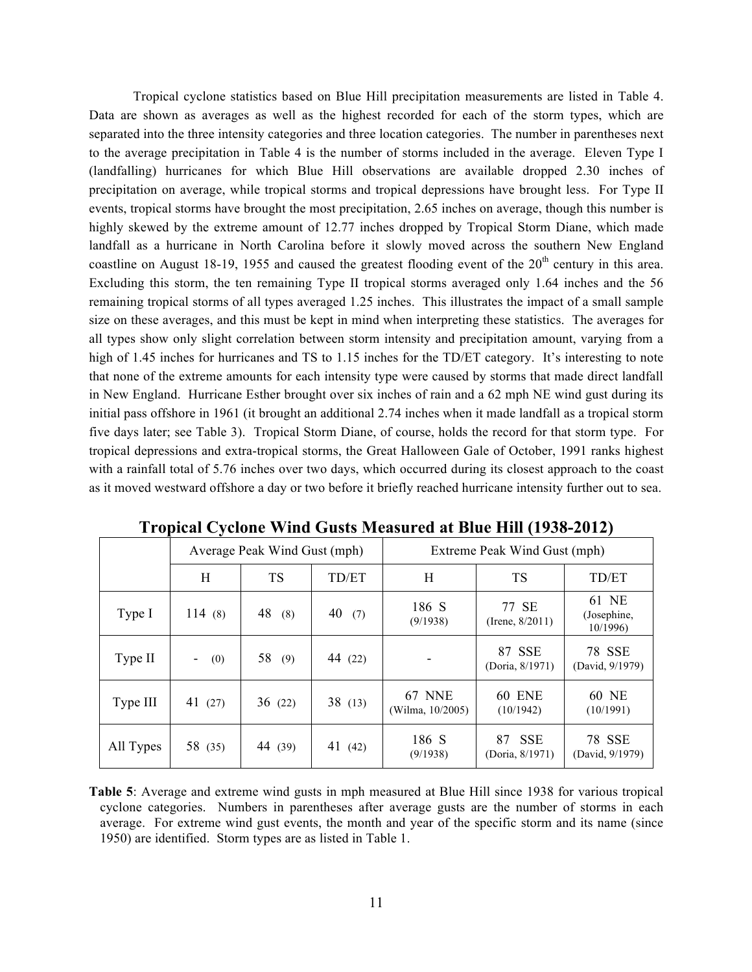Tropical cyclone statistics based on Blue Hill precipitation measurements are listed in Table 4. Data are shown as averages as well as the highest recorded for each of the storm types, which are separated into the three intensity categories and three location categories. The number in parentheses next to the average precipitation in Table 4 is the number of storms included in the average. Eleven Type I (landfalling) hurricanes for which Blue Hill observations are available dropped 2.30 inches of precipitation on average, while tropical storms and tropical depressions have brought less. For Type II events, tropical storms have brought the most precipitation, 2.65 inches on average, though this number is highly skewed by the extreme amount of 12.77 inches dropped by Tropical Storm Diane, which made landfall as a hurricane in North Carolina before it slowly moved across the southern New England coastline on August 18-19, 1955 and caused the greatest flooding event of the 20<sup>th</sup> century in this area. Excluding this storm, the ten remaining Type II tropical storms averaged only 1.64 inches and the 56 remaining tropical storms of all types averaged 1.25 inches. This illustrates the impact of a small sample size on these averages, and this must be kept in mind when interpreting these statistics. The averages for all types show only slight correlation between storm intensity and precipitation amount, varying from a high of 1.45 inches for hurricanes and TS to 1.15 inches for the TD/ET category. It's interesting to note that none of the extreme amounts for each intensity type were caused by storms that made direct landfall in New England. Hurricane Esther brought over six inches of rain and a 62 mph NE wind gust during its initial pass offshore in 1961 (it brought an additional 2.74 inches when it made landfall as a tropical storm five days later; see Table 3). Tropical Storm Diane, of course, holds the record for that storm type. For tropical depressions and extra-tropical storms, the Great Halloween Gale of October, 1991 ranks highest with a rainfall total of 5.76 inches over two days, which occurred during its closest approach to the coast as it moved westward offshore a day or two before it briefly reached hurricane intensity further out to sea.

|           | Average Peak Wind Gust (mph) |           |           | Extreme Peak Wind Gust (mph)      |                                     |                                  |  |
|-----------|------------------------------|-----------|-----------|-----------------------------------|-------------------------------------|----------------------------------|--|
|           | H                            | TS        | TD/ET     | H                                 | TS                                  | TD/ET                            |  |
| Type I    | 114(8)                       | 48<br>(8) | 40<br>(7) | 186 S<br>(9/1938)                 | 77 SE<br>(Irene, $8/2011$ )         | 61 NE<br>(Josephine,<br>10/1996  |  |
| Type II   | (0)<br>۰                     | 58<br>(9) | 44 (22)   |                                   | 87 SSE<br>(Doria, 8/1971)           | 78 SSE<br>(David, 9/1979)        |  |
| Type III  | 41 $(27)$                    | 36(22)    | 38(13)    | <b>67 NNE</b><br>(Wilma, 10/2005) | <b>60 ENE</b><br>(10/1942)          | 60 NE<br>(10/1991)               |  |
| All Types | 58 (35)                      | 44 (39)   | 41 $(42)$ | 186 S<br>(9/1938)                 | <b>SSE</b><br>87<br>(Doria, 8/1971) | <b>78 SSE</b><br>(David, 9/1979) |  |

**Table 5**: Average and extreme wind gusts in mph measured at Blue Hill since 1938 for various tropical cyclone categories. Numbers in parentheses after average gusts are the number of storms in each average. For extreme wind gust events, the month and year of the specific storm and its name (since 1950) are identified. Storm types are as listed in Table 1.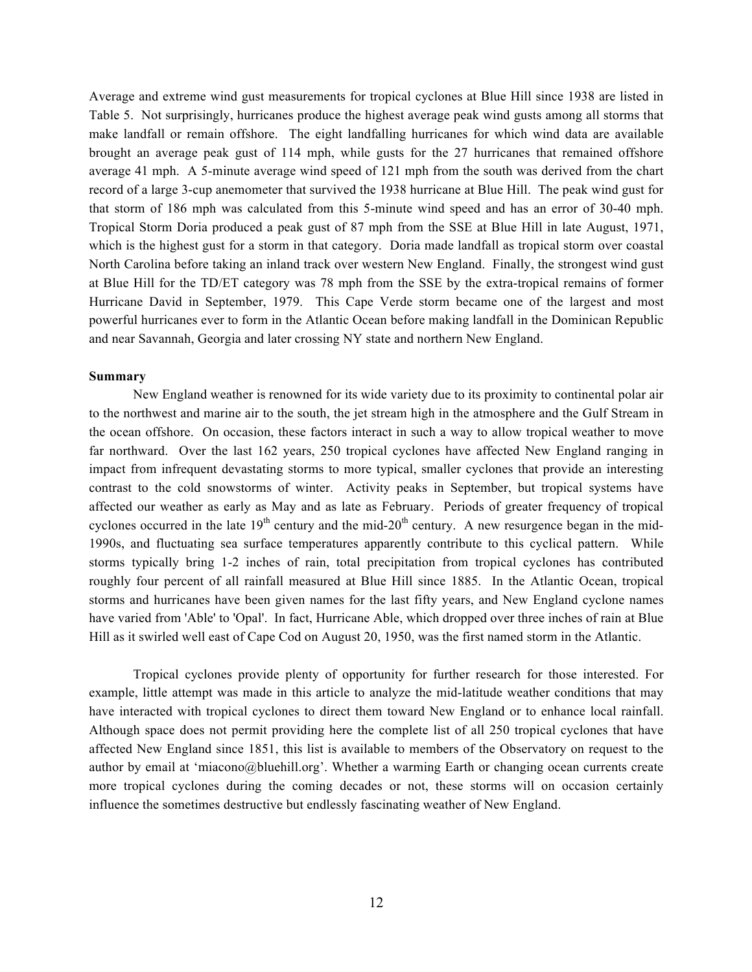Average and extreme wind gust measurements for tropical cyclones at Blue Hill since 1938 are listed in Table 5. Not surprisingly, hurricanes produce the highest average peak wind gusts among all storms that make landfall or remain offshore. The eight landfalling hurricanes for which wind data are available brought an average peak gust of 114 mph, while gusts for the 27 hurricanes that remained offshore average 41 mph. A 5-minute average wind speed of 121 mph from the south was derived from the chart record of a large 3-cup anemometer that survived the 1938 hurricane at Blue Hill. The peak wind gust for that storm of 186 mph was calculated from this 5-minute wind speed and has an error of 30-40 mph. Tropical Storm Doria produced a peak gust of 87 mph from the SSE at Blue Hill in late August, 1971, which is the highest gust for a storm in that category. Doria made landfall as tropical storm over coastal North Carolina before taking an inland track over western New England. Finally, the strongest wind gust at Blue Hill for the TD/ET category was 78 mph from the SSE by the extra-tropical remains of former Hurricane David in September, 1979. This Cape Verde storm became one of the largest and most powerful hurricanes ever to form in the Atlantic Ocean before making landfall in the Dominican Republic and near Savannah, Georgia and later crossing NY state and northern New England.

### **Summary**

New England weather is renowned for its wide variety due to its proximity to continental polar air to the northwest and marine air to the south, the jet stream high in the atmosphere and the Gulf Stream in the ocean offshore. On occasion, these factors interact in such a way to allow tropical weather to move far northward. Over the last 162 years, 250 tropical cyclones have affected New England ranging in impact from infrequent devastating storms to more typical, smaller cyclones that provide an interesting contrast to the cold snowstorms of winter. Activity peaks in September, but tropical systems have affected our weather as early as May and as late as February. Periods of greater frequency of tropical cyclones occurred in the late  $19<sup>th</sup>$  century and the mid-20<sup>th</sup> century. A new resurgence began in the mid-1990s, and fluctuating sea surface temperatures apparently contribute to this cyclical pattern. While storms typically bring 1-2 inches of rain, total precipitation from tropical cyclones has contributed roughly four percent of all rainfall measured at Blue Hill since 1885. In the Atlantic Ocean, tropical storms and hurricanes have been given names for the last fifty years, and New England cyclone names have varied from 'Able' to 'Opal'. In fact, Hurricane Able, which dropped over three inches of rain at Blue Hill as it swirled well east of Cape Cod on August 20, 1950, was the first named storm in the Atlantic.

Tropical cyclones provide plenty of opportunity for further research for those interested. For example, little attempt was made in this article to analyze the mid-latitude weather conditions that may have interacted with tropical cyclones to direct them toward New England or to enhance local rainfall. Although space does not permit providing here the complete list of all 250 tropical cyclones that have affected New England since 1851, this list is available to members of the Observatory on request to the author by email at 'miacono@bluehill.org'. Whether a warming Earth or changing ocean currents create more tropical cyclones during the coming decades or not, these storms will on occasion certainly influence the sometimes destructive but endlessly fascinating weather of New England.